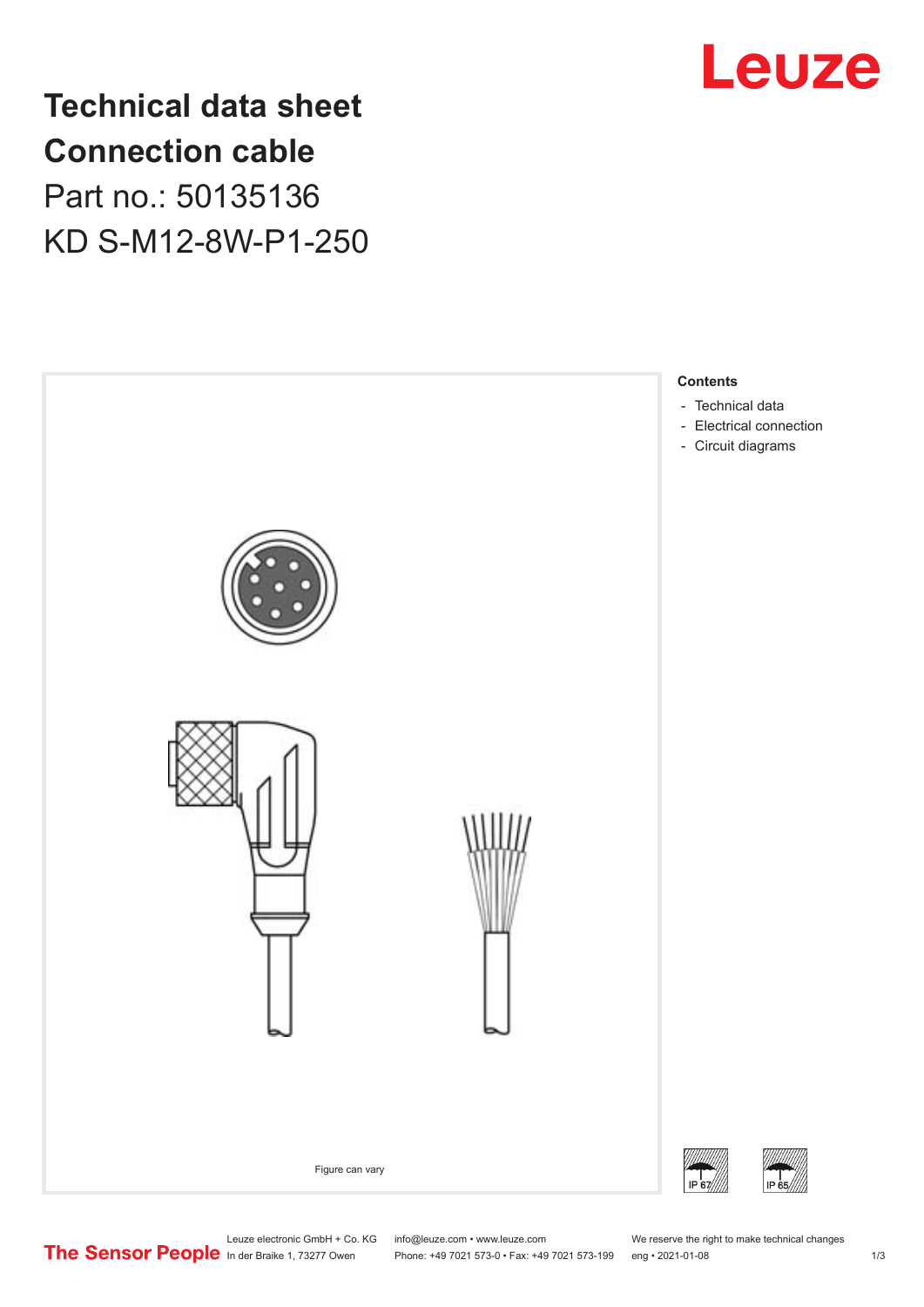

**Technical data sheet Connection cable** Part no.: 50135136 KD S-M12-8W-P1-250



Leuze electronic GmbH + Co. KG info@leuze.com • www.leuze.com We reserve the right to make technical changes<br>
The Sensor People in der Braike 1, 73277 Owen Phone: +49 7021 573-0 • Fax: +49 7021 573-199 eng • 2021-01-08

Phone: +49 7021 573-0 • Fax: +49 7021 573-199 eng • 2021-01-08 1 m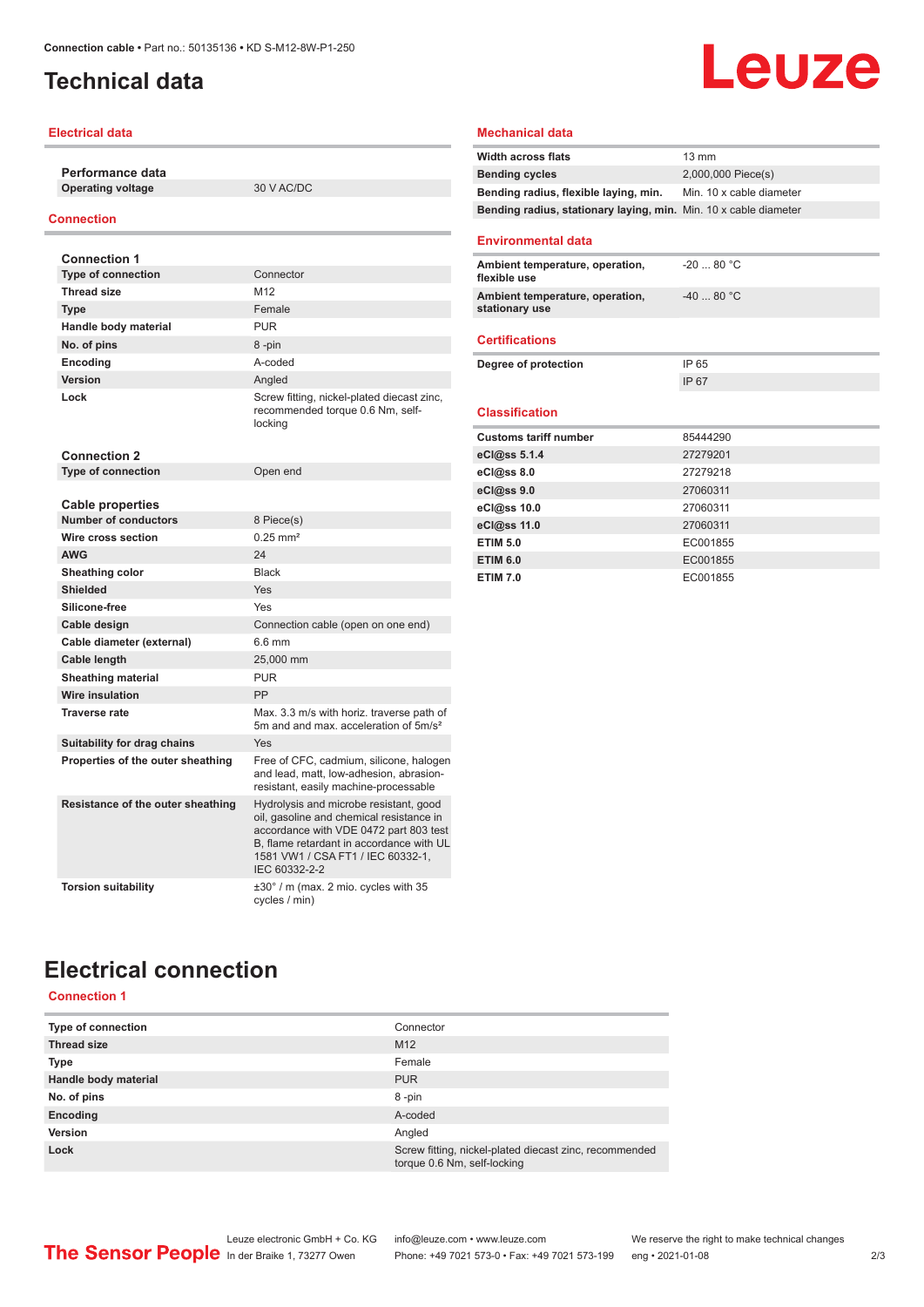## <span id="page-1-0"></span>**Technical data**

### **Electrical data**

**Performance data Operating voltage** 30 V AC/DC

#### **Connection**

| <b>Connection 1</b>                          |                                                                                                                                                                                                                                |
|----------------------------------------------|--------------------------------------------------------------------------------------------------------------------------------------------------------------------------------------------------------------------------------|
| <b>Type of connection</b>                    | Connector                                                                                                                                                                                                                      |
| <b>Thread size</b>                           | M <sub>12</sub>                                                                                                                                                                                                                |
| <b>Type</b>                                  | Female                                                                                                                                                                                                                         |
| Handle body material                         | <b>PUR</b>                                                                                                                                                                                                                     |
| No. of pins                                  | 8-pin                                                                                                                                                                                                                          |
| Encoding                                     | A-coded                                                                                                                                                                                                                        |
| Version                                      | Angled                                                                                                                                                                                                                         |
| Lock                                         | Screw fitting, nickel-plated diecast zinc,<br>recommended torque 0.6 Nm, self-<br>locking                                                                                                                                      |
| <b>Connection 2</b>                          |                                                                                                                                                                                                                                |
| <b>Type of connection</b>                    | Open end                                                                                                                                                                                                                       |
|                                              |                                                                                                                                                                                                                                |
| <b>Cable properties</b>                      |                                                                                                                                                                                                                                |
| <b>Number of conductors</b>                  | 8 Piece(s)<br>$0.25$ mm <sup>2</sup>                                                                                                                                                                                           |
| Wire cross section                           |                                                                                                                                                                                                                                |
| <b>AWG</b>                                   | 24                                                                                                                                                                                                                             |
| Sheathing color                              | <b>Black</b>                                                                                                                                                                                                                   |
| <b>Shielded</b>                              | Yes                                                                                                                                                                                                                            |
| Silicone-free                                | Yes                                                                                                                                                                                                                            |
| Cable design                                 | Connection cable (open on one end)<br>6.6 mm                                                                                                                                                                                   |
| Cable diameter (external)                    |                                                                                                                                                                                                                                |
| Cable length                                 | 25,000 mm<br><b>PUR</b>                                                                                                                                                                                                        |
| <b>Sheathing material</b><br>Wire insulation | PP                                                                                                                                                                                                                             |
| <b>Traverse rate</b>                         | Max. 3.3 m/s with horiz. traverse path of                                                                                                                                                                                      |
|                                              | 5m and and max, acceleration of 5m/s <sup>2</sup>                                                                                                                                                                              |
| Suitability for drag chains                  | Yes                                                                                                                                                                                                                            |
| Properties of the outer sheathing            | Free of CFC, cadmium, silicone, halogen<br>and lead, matt, low-adhesion, abrasion-<br>resistant, easily machine-processable                                                                                                    |
| Resistance of the outer sheathing            | Hydrolysis and microbe resistant, good<br>oil, gasoline and chemical resistance in<br>accordance with VDE 0472 part 803 test<br>B, flame retardant in accordance with UL<br>1581 VW1 / CSA FT1 / IEC 60332-1,<br>IEC 60332-2-2 |
| <b>Torsion suitability</b>                   | $\pm 30^\circ$ / m (max. 2 mio. cycles with 35<br>cycles / min)                                                                                                                                                                |

#### **Mechanical data**

| <b>Width across flats</b>                                        | $13 \text{ mm}$          |
|------------------------------------------------------------------|--------------------------|
| <b>Bending cycles</b>                                            | 2,000,000 Piece(s)       |
| Bending radius, flexible laying, min.                            | Min. 10 x cable diameter |
| Bending radius, stationary laying, min. Min. 10 x cable diameter |                          |
| <b>Environmental data</b>                                        |                          |
| Ambient temperature, operation,<br>flexible use                  | $-2080 °C$               |
| Ambient temperature, operation,<br>stationary use                | $-4080 °C$               |
| <b>Certifications</b>                                            |                          |
| Degree of protection                                             | IP 65                    |
|                                                                  | IP 67                    |
| <b>Classification</b>                                            |                          |
| <b>Customs tariff number</b>                                     | 85444290                 |
| eCl@ss 5.1.4                                                     | 27279201                 |
| eCl@ss 8.0                                                       | 27279218                 |
| eCl@ss 9.0                                                       | 27060311                 |
| eCl@ss 10.0                                                      | 27060311                 |
| eCl@ss 11.0                                                      | 27060311                 |
| <b>ETIM 5.0</b>                                                  | EC001855                 |
| <b>ETIM 6.0</b>                                                  | EC001855                 |
| <b>ETIM 7.0</b>                                                  | EC001855                 |

**Leuze** 

# **Electrical connection**

## **Connection 1**

| Type of connection   | Connector                                                                             |
|----------------------|---------------------------------------------------------------------------------------|
| <b>Thread size</b>   | M <sub>12</sub>                                                                       |
| Type                 | Female                                                                                |
| Handle body material | <b>PUR</b>                                                                            |
| No. of pins          | 8-pin                                                                                 |
| Encoding             | A-coded                                                                               |
| Version              | Angled                                                                                |
| Lock                 | Screw fitting, nickel-plated diecast zinc, recommended<br>torque 0.6 Nm, self-locking |